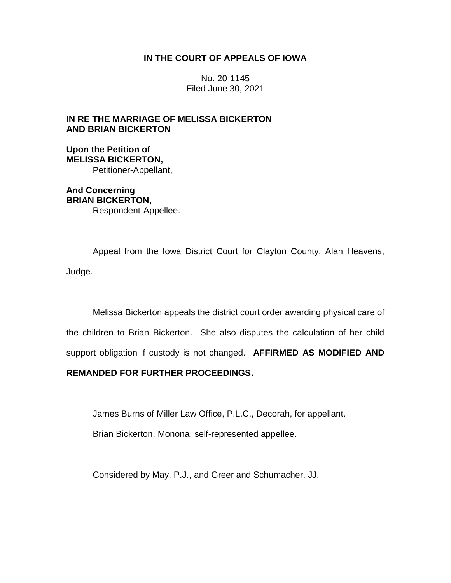# **IN THE COURT OF APPEALS OF IOWA**

No. 20-1145 Filed June 30, 2021

# **IN RE THE MARRIAGE OF MELISSA BICKERTON AND BRIAN BICKERTON**

**Upon the Petition of MELISSA BICKERTON,** Petitioner-Appellant,

**And Concerning BRIAN BICKERTON,** Respondent-Appellee.

Appeal from the Iowa District Court for Clayton County, Alan Heavens, Judge.

\_\_\_\_\_\_\_\_\_\_\_\_\_\_\_\_\_\_\_\_\_\_\_\_\_\_\_\_\_\_\_\_\_\_\_\_\_\_\_\_\_\_\_\_\_\_\_\_\_\_\_\_\_\_\_\_\_\_\_\_\_\_\_\_

Melissa Bickerton appeals the district court order awarding physical care of the children to Brian Bickerton. She also disputes the calculation of her child support obligation if custody is not changed. **AFFIRMED AS MODIFIED AND** 

# **REMANDED FOR FURTHER PROCEEDINGS.**

James Burns of Miller Law Office, P.L.C., Decorah, for appellant.

Brian Bickerton, Monona, self-represented appellee.

Considered by May, P.J., and Greer and Schumacher, JJ.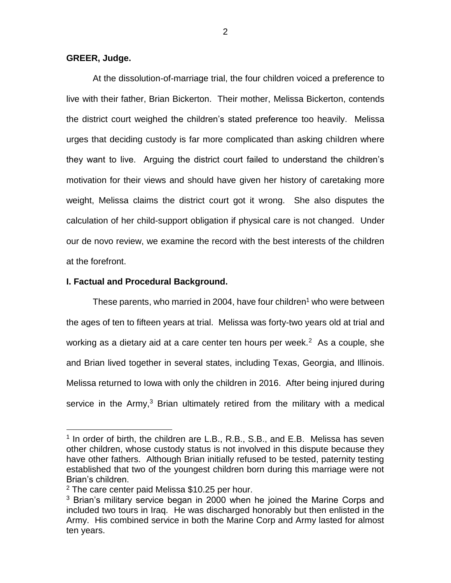## **GREER, Judge.**

At the dissolution-of-marriage trial, the four children voiced a preference to live with their father, Brian Bickerton. Their mother, Melissa Bickerton, contends the district court weighed the children's stated preference too heavily. Melissa urges that deciding custody is far more complicated than asking children where they want to live. Arguing the district court failed to understand the children's motivation for their views and should have given her history of caretaking more weight, Melissa claims the district court got it wrong. She also disputes the calculation of her child-support obligation if physical care is not changed. Under our de novo review, we examine the record with the best interests of the children at the forefront.

## **I. Factual and Procedural Background.**

These parents, who married in 2004, have four children<sup>1</sup> who were between the ages of ten to fifteen years at trial. Melissa was forty-two years old at trial and working as a dietary aid at a care center ten hours per week. $2$  As a couple, she and Brian lived together in several states, including Texas, Georgia, and Illinois. Melissa returned to Iowa with only the children in 2016. After being injured during service in the Army,<sup>3</sup> Brian ultimately retired from the military with a medical

 $\overline{a}$ 

<sup>&</sup>lt;sup>1</sup> In order of birth, the children are L.B., R.B., S.B., and E.B. Melissa has seven other children, whose custody status is not involved in this dispute because they have other fathers. Although Brian initially refused to be tested, paternity testing established that two of the youngest children born during this marriage were not Brian's children.

<sup>2</sup> The care center paid Melissa \$10.25 per hour.

<sup>&</sup>lt;sup>3</sup> Brian's military service began in 2000 when he joined the Marine Corps and included two tours in Iraq. He was discharged honorably but then enlisted in the Army. His combined service in both the Marine Corp and Army lasted for almost ten years.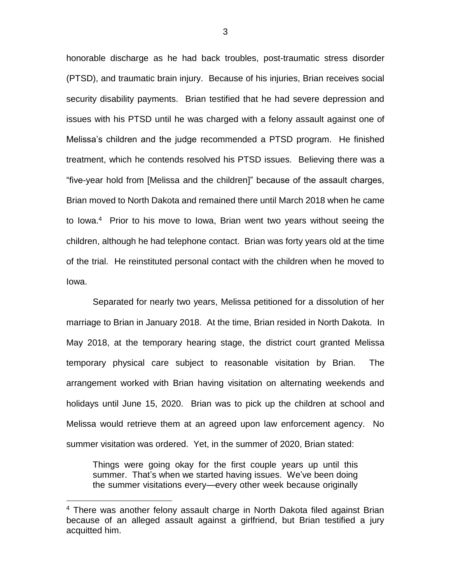honorable discharge as he had back troubles, post-traumatic stress disorder (PTSD), and traumatic brain injury. Because of his injuries, Brian receives social security disability payments. Brian testified that he had severe depression and issues with his PTSD until he was charged with a felony assault against one of Melissa's children and the judge recommended a PTSD program. He finished treatment, which he contends resolved his PTSD issues. Believing there was a "five-year hold from [Melissa and the children]" because of the assault charges, Brian moved to North Dakota and remained there until March 2018 when he came to lowa.<sup>4</sup> Prior to his move to lowa, Brian went two years without seeing the children, although he had telephone contact. Brian was forty years old at the time of the trial. He reinstituted personal contact with the children when he moved to Iowa.

Separated for nearly two years, Melissa petitioned for a dissolution of her marriage to Brian in January 2018. At the time, Brian resided in North Dakota. In May 2018, at the temporary hearing stage, the district court granted Melissa temporary physical care subject to reasonable visitation by Brian. The arrangement worked with Brian having visitation on alternating weekends and holidays until June 15, 2020. Brian was to pick up the children at school and Melissa would retrieve them at an agreed upon law enforcement agency. No summer visitation was ordered. Yet, in the summer of 2020, Brian stated:

Things were going okay for the first couple years up until this summer. That's when we started having issues. We've been doing the summer visitations every—every other week because originally

 $\overline{a}$ 

<sup>&</sup>lt;sup>4</sup> There was another felony assault charge in North Dakota filed against Brian because of an alleged assault against a girlfriend, but Brian testified a jury acquitted him.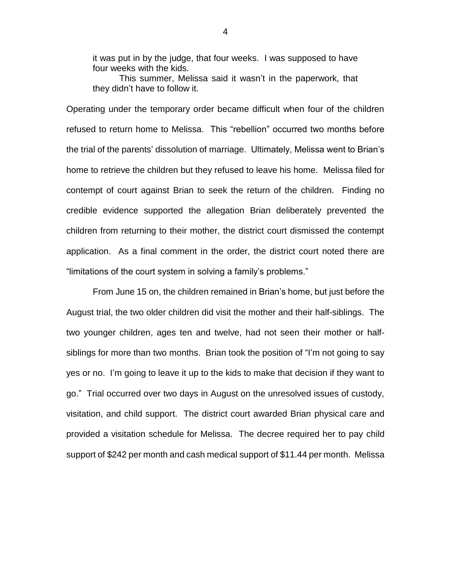it was put in by the judge, that four weeks. I was supposed to have four weeks with the kids.

This summer, Melissa said it wasn't in the paperwork, that they didn't have to follow it.

Operating under the temporary order became difficult when four of the children refused to return home to Melissa. This "rebellion" occurred two months before the trial of the parents' dissolution of marriage. Ultimately, Melissa went to Brian's home to retrieve the children but they refused to leave his home. Melissa filed for contempt of court against Brian to seek the return of the children. Finding no credible evidence supported the allegation Brian deliberately prevented the children from returning to their mother, the district court dismissed the contempt application. As a final comment in the order, the district court noted there are "limitations of the court system in solving a family's problems."

From June 15 on, the children remained in Brian's home, but just before the August trial, the two older children did visit the mother and their half-siblings. The two younger children, ages ten and twelve, had not seen their mother or halfsiblings for more than two months. Brian took the position of "I'm not going to say yes or no. I'm going to leave it up to the kids to make that decision if they want to go." Trial occurred over two days in August on the unresolved issues of custody, visitation, and child support. The district court awarded Brian physical care and provided a visitation schedule for Melissa. The decree required her to pay child support of \$242 per month and cash medical support of \$11.44 per month. Melissa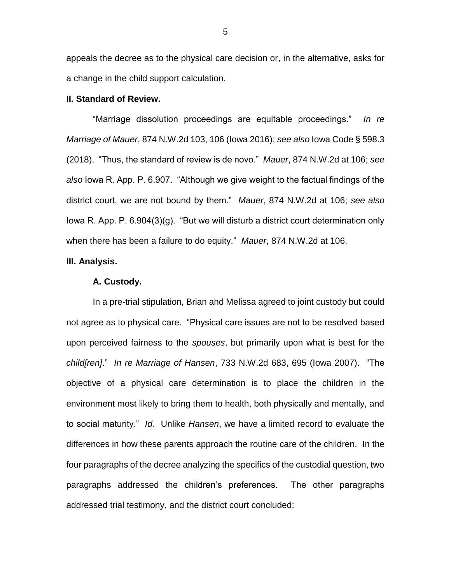appeals the decree as to the physical care decision or, in the alternative, asks for a change in the child support calculation.

## **II. Standard of Review.**

"Marriage dissolution proceedings are equitable proceedings." *In re Marriage of Mauer*, 874 N.W.2d 103, 106 (Iowa 2016); *see also* Iowa Code § 598.3 (2018). "Thus, the standard of review is de novo." *Mauer*, 874 N.W.2d at 106; *see also* Iowa R. App. P. 6.907. "Although we give weight to the factual findings of the district court, we are not bound by them." *Mauer*, 874 N.W.2d at 106; *see also*  Iowa R. App. P. 6.904(3)(g). "But we will disturb a district court determination only when there has been a failure to do equity." *Mauer*, 874 N.W.2d at 106.

#### **III. Analysis.**

#### **A. Custody.**

In a pre-trial stipulation, Brian and Melissa agreed to joint custody but could not agree as to physical care. "Physical care issues are not to be resolved based upon perceived fairness to the *spouses*, but primarily upon what is best for the *child[ren]*." *In re Marriage of Hansen*, 733 N.W.2d 683, 695 (Iowa 2007). "The objective of a physical care determination is to place the children in the environment most likely to bring them to health, both physically and mentally, and to social maturity." *Id.* Unlike *Hansen*, we have a limited record to evaluate the differences in how these parents approach the routine care of the children. In the four paragraphs of the decree analyzing the specifics of the custodial question, two paragraphs addressed the children's preferences. The other paragraphs addressed trial testimony, and the district court concluded: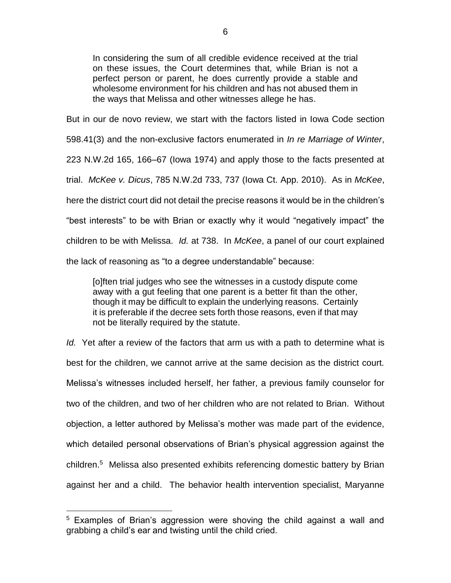In considering the sum of all credible evidence received at the trial on these issues, the Court determines that, while Brian is not a perfect person or parent, he does currently provide a stable and wholesome environment for his children and has not abused them in the ways that Melissa and other witnesses allege he has.

But in our de novo review, we start with the factors listed in Iowa Code section 598.41(3) and the non-exclusive factors enumerated in *In re Marriage of Winter*, 223 N.W.2d 165, 166–67 (Iowa 1974) and apply those to the facts presented at trial. *McKee v. Dicus*, 785 N.W.2d 733, 737 (Iowa Ct. App. 2010). As in *McKee*, here the district court did not detail the precise reasons it would be in the children's "best interests" to be with Brian or exactly why it would "negatively impact" the children to be with Melissa. *Id.* at 738. In *McKee*, a panel of our court explained the lack of reasoning as "to a degree understandable" because:

[o]ften trial judges who see the witnesses in a custody dispute come away with a gut feeling that one parent is a better fit than the other, though it may be difficult to explain the underlying reasons. Certainly it is preferable if the decree sets forth those reasons, even if that may not be literally required by the statute.

*Id.* Yet after a review of the factors that arm us with a path to determine what is best for the children, we cannot arrive at the same decision as the district court. Melissa's witnesses included herself, her father, a previous family counselor for two of the children, and two of her children who are not related to Brian. Without objection, a letter authored by Melissa's mother was made part of the evidence, which detailed personal observations of Brian's physical aggression against the children.<sup>5</sup> Melissa also presented exhibits referencing domestic battery by Brian against her and a child. The behavior health intervention specialist, Maryanne

 $\overline{a}$ 

<sup>&</sup>lt;sup>5</sup> Examples of Brian's aggression were shoving the child against a wall and grabbing a child's ear and twisting until the child cried.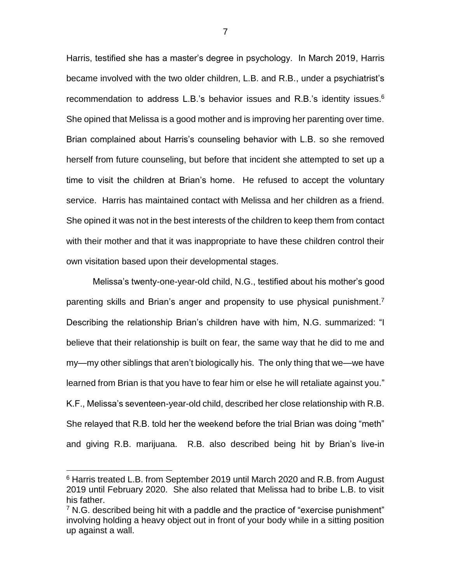Harris, testified she has a master's degree in psychology. In March 2019, Harris became involved with the two older children, L.B. and R.B., under a psychiatrist's recommendation to address L.B.'s behavior issues and R.B.'s identity issues. $6$ She opined that Melissa is a good mother and is improving her parenting over time. Brian complained about Harris's counseling behavior with L.B. so she removed herself from future counseling, but before that incident she attempted to set up a time to visit the children at Brian's home. He refused to accept the voluntary service. Harris has maintained contact with Melissa and her children as a friend. She opined it was not in the best interests of the children to keep them from contact with their mother and that it was inappropriate to have these children control their own visitation based upon their developmental stages.

Melissa's twenty-one-year-old child, N.G., testified about his mother's good parenting skills and Brian's anger and propensity to use physical punishment.<sup>7</sup> Describing the relationship Brian's children have with him, N.G. summarized: "I believe that their relationship is built on fear, the same way that he did to me and my—my other siblings that aren't biologically his. The only thing that we—we have learned from Brian is that you have to fear him or else he will retaliate against you." K.F., Melissa's seventeen-year-old child, described her close relationship with R.B. She relayed that R.B. told her the weekend before the trial Brian was doing "meth" and giving R.B. marijuana. R.B. also described being hit by Brian's live-in

 $\overline{a}$ 

<sup>6</sup> Harris treated L.B. from September 2019 until March 2020 and R.B. from August 2019 until February 2020. She also related that Melissa had to bribe L.B. to visit his father.

 $7$  N.G. described being hit with a paddle and the practice of "exercise punishment" involving holding a heavy object out in front of your body while in a sitting position up against a wall.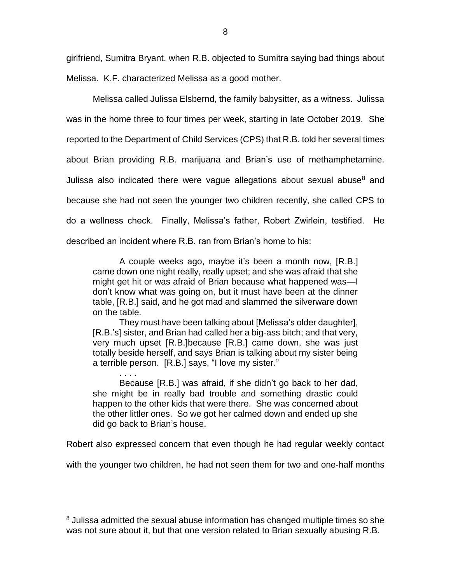girlfriend, Sumitra Bryant, when R.B. objected to Sumitra saying bad things about Melissa. K.F. characterized Melissa as a good mother.

Melissa called Julissa Elsbernd, the family babysitter, as a witness. Julissa was in the home three to four times per week, starting in late October 2019. She reported to the Department of Child Services (CPS) that R.B. told her several times about Brian providing R.B. marijuana and Brian's use of methamphetamine. Julissa also indicated there were vague allegations about sexual abuse $8$  and because she had not seen the younger two children recently, she called CPS to do a wellness check. Finally, Melissa's father, Robert Zwirlein, testified. He described an incident where R.B. ran from Brian's home to his:

A couple weeks ago, maybe it's been a month now, [R.B.] came down one night really, really upset; and she was afraid that she might get hit or was afraid of Brian because what happened was—I don't know what was going on, but it must have been at the dinner table, [R.B.] said, and he got mad and slammed the silverware down on the table.

They must have been talking about [Melissa's older daughter], [R.B.'s] sister, and Brian had called her a big-ass bitch; and that very, very much upset [R.B.]because [R.B.] came down, she was just totally beside herself, and says Brian is talking about my sister being a terrible person. [R.B.] says, "I love my sister."

. . . .

 $\overline{a}$ 

Because [R.B.] was afraid, if she didn't go back to her dad, she might be in really bad trouble and something drastic could happen to the other kids that were there. She was concerned about the other littler ones. So we got her calmed down and ended up she did go back to Brian's house.

Robert also expressed concern that even though he had regular weekly contact

with the younger two children, he had not seen them for two and one-half months

<sup>&</sup>lt;sup>8</sup> Julissa admitted the sexual abuse information has changed multiple times so she was not sure about it, but that one version related to Brian sexually abusing R.B.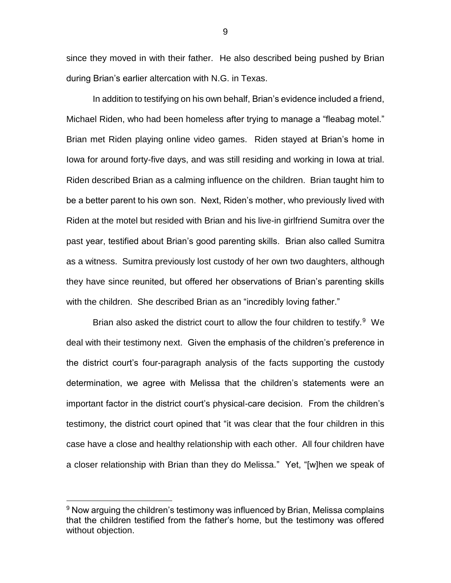since they moved in with their father. He also described being pushed by Brian during Brian's earlier altercation with N.G. in Texas.

In addition to testifying on his own behalf, Brian's evidence included a friend, Michael Riden, who had been homeless after trying to manage a "fleabag motel." Brian met Riden playing online video games. Riden stayed at Brian's home in Iowa for around forty-five days, and was still residing and working in Iowa at trial. Riden described Brian as a calming influence on the children. Brian taught him to be a better parent to his own son. Next, Riden's mother, who previously lived with Riden at the motel but resided with Brian and his live-in girlfriend Sumitra over the past year, testified about Brian's good parenting skills. Brian also called Sumitra as a witness. Sumitra previously lost custody of her own two daughters, although they have since reunited, but offered her observations of Brian's parenting skills with the children. She described Brian as an "incredibly loving father."

Brian also asked the district court to allow the four children to testify.<sup>9</sup> We deal with their testimony next. Given the emphasis of the children's preference in the district court's four-paragraph analysis of the facts supporting the custody determination, we agree with Melissa that the children's statements were an important factor in the district court's physical-care decision. From the children's testimony, the district court opined that "it was clear that the four children in this case have a close and healthy relationship with each other. All four children have a closer relationship with Brian than they do Melissa." Yet, "[w]hen we speak of

 $\overline{a}$ 

 $9$  Now arguing the children's testimony was influenced by Brian, Melissa complains that the children testified from the father's home, but the testimony was offered without objection.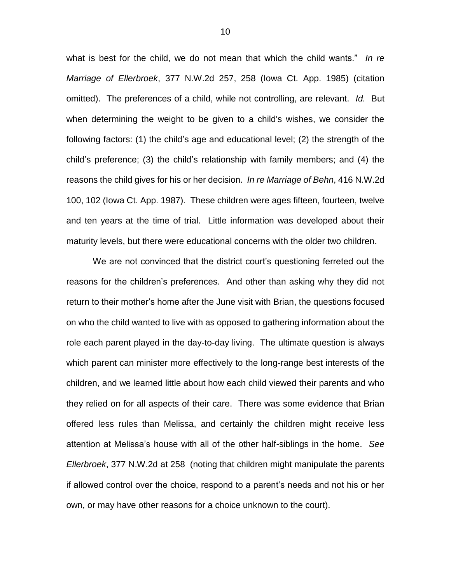what is best for the child, we do not mean that which the child wants." *In re Marriage of Ellerbroek*, 377 N.W.2d 257, 258 (Iowa Ct. App. 1985) (citation omitted). The preferences of a child, while not controlling, are relevant. *Id.* But when determining the weight to be given to a child's wishes, we consider the following factors: (1) the child's age and educational level; (2) the strength of the child's preference; (3) the child's relationship with family members; and (4) the reasons the child gives for his or her decision. *In re Marriage of Behn*, 416 N.W.2d 100, 102 (Iowa Ct. App. 1987). These children were ages fifteen, fourteen, twelve and ten years at the time of trial. Little information was developed about their maturity levels, but there were educational concerns with the older two children.

We are not convinced that the district court's questioning ferreted out the reasons for the children's preferences. And other than asking why they did not return to their mother's home after the June visit with Brian, the questions focused on who the child wanted to live with as opposed to gathering information about the role each parent played in the day-to-day living. The ultimate question is always which parent can minister more effectively to the long-range best interests of the children, and we learned little about how each child viewed their parents and who they relied on for all aspects of their care. There was some evidence that Brian offered less rules than Melissa, and certainly the children might receive less attention at Melissa's house with all of the other half-siblings in the home. *See Ellerbroek*, 377 N.W.2d at 258 (noting that children might manipulate the parents if allowed control over the choice, respond to a parent's needs and not his or her own, or may have other reasons for a choice unknown to the court).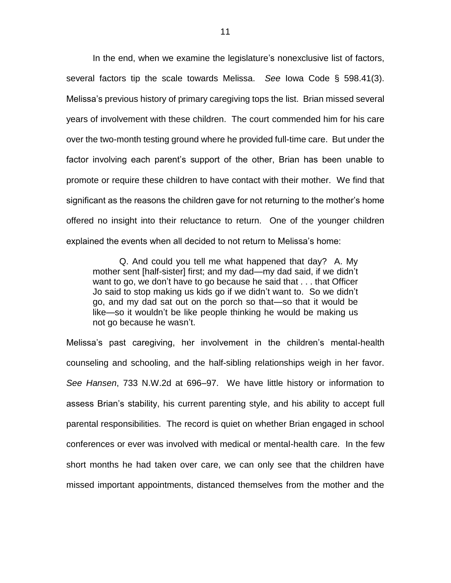In the end, when we examine the legislature's nonexclusive list of factors, several factors tip the scale towards Melissa. *See* Iowa Code § 598.41(3). Melissa's previous history of primary caregiving tops the list. Brian missed several years of involvement with these children. The court commended him for his care over the two-month testing ground where he provided full-time care. But under the factor involving each parent's support of the other, Brian has been unable to promote or require these children to have contact with their mother. We find that significant as the reasons the children gave for not returning to the mother's home offered no insight into their reluctance to return. One of the younger children explained the events when all decided to not return to Melissa's home:

Q. And could you tell me what happened that day? A. My mother sent [half-sister] first; and my dad—my dad said, if we didn't want to go, we don't have to go because he said that . . . that Officer Jo said to stop making us kids go if we didn't want to. So we didn't go, and my dad sat out on the porch so that—so that it would be like—so it wouldn't be like people thinking he would be making us not go because he wasn't.

Melissa's past caregiving, her involvement in the children's mental-health counseling and schooling, and the half-sibling relationships weigh in her favor. *See Hansen*, 733 N.W.2d at 696–97. We have little history or information to assess Brian's stability, his current parenting style, and his ability to accept full parental responsibilities. The record is quiet on whether Brian engaged in school conferences or ever was involved with medical or mental-health care. In the few short months he had taken over care, we can only see that the children have missed important appointments, distanced themselves from the mother and the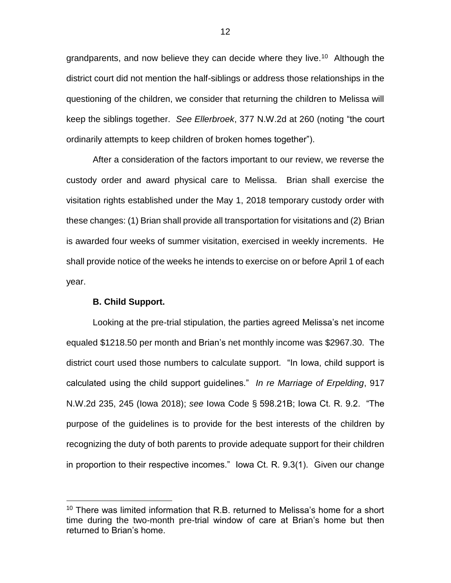grandparents, and now believe they can decide where they live.<sup>10</sup> Although the district court did not mention the half-siblings or address those relationships in the questioning of the children, we consider that returning the children to Melissa will keep the siblings together. *See Ellerbroek*, 377 N.W.2d at 260 (noting "the court ordinarily attempts to keep children of broken homes together").

After a consideration of the factors important to our review, we reverse the custody order and award physical care to Melissa. Brian shall exercise the visitation rights established under the May 1, 2018 temporary custody order with these changes: (1) Brian shall provide all transportation for visitations and (2) Brian is awarded four weeks of summer visitation, exercised in weekly increments. He shall provide notice of the weeks he intends to exercise on or before April 1 of each year.

#### **B. Child Support.**

 $\overline{a}$ 

Looking at the pre-trial stipulation, the parties agreed Melissa's net income equaled \$1218.50 per month and Brian's net monthly income was \$2967.30. The district court used those numbers to calculate support. "In Iowa, child support is calculated using the child support guidelines." *In re Marriage of Erpelding*, 917 N.W.2d 235, 245 (Iowa 2018); *see* Iowa Code § 598.21B; Iowa Ct. R. 9.2. "The purpose of the guidelines is to provide for the best interests of the children by recognizing the duty of both parents to provide adequate support for their children in proportion to their respective incomes." Iowa Ct. R. 9.3(1). Given our change

 $10$  There was limited information that R.B. returned to Melissa's home for a short time during the two-month pre-trial window of care at Brian's home but then returned to Brian's home.